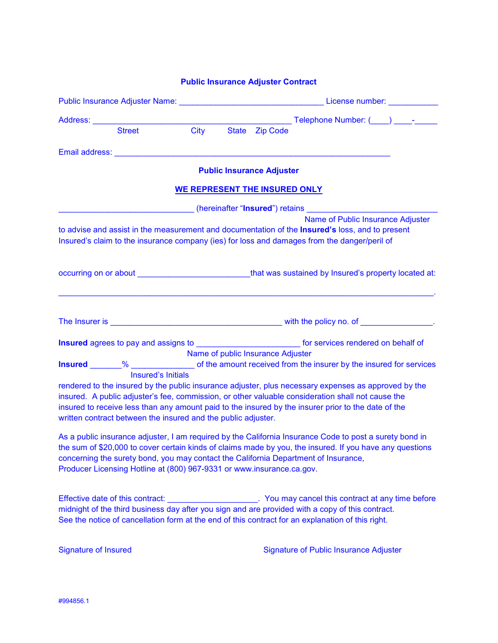| <b>Public Insurance Adjuster Contract</b>                             |             |  |                                                                                                                                                                                                                                                                                                                   |  |  |
|-----------------------------------------------------------------------|-------------|--|-------------------------------------------------------------------------------------------------------------------------------------------------------------------------------------------------------------------------------------------------------------------------------------------------------------------|--|--|
|                                                                       |             |  |                                                                                                                                                                                                                                                                                                                   |  |  |
|                                                                       |             |  |                                                                                                                                                                                                                                                                                                                   |  |  |
| <b>Street</b>                                                         | <b>City</b> |  | State Zip Code                                                                                                                                                                                                                                                                                                    |  |  |
|                                                                       |             |  |                                                                                                                                                                                                                                                                                                                   |  |  |
|                                                                       |             |  | <b>Public Insurance Adjuster</b>                                                                                                                                                                                                                                                                                  |  |  |
|                                                                       |             |  | WE REPRESENT THE INSURED ONLY                                                                                                                                                                                                                                                                                     |  |  |
|                                                                       |             |  | <u>Example 2014</u> (hereinafter "Insured") retains <b>Example 2014</b> (hereinafter "Insured") retains                                                                                                                                                                                                           |  |  |
|                                                                       |             |  | Name of Public Insurance Adjuster<br>to advise and assist in the measurement and documentation of the Insured's loss, and to present<br>Insured's claim to the insurance company (ies) for loss and damages from the danger/peril of                                                                              |  |  |
|                                                                       |             |  | occurring on or about ________________________________that was sustained by Insured's property located at:                                                                                                                                                                                                        |  |  |
|                                                                       |             |  |                                                                                                                                                                                                                                                                                                                   |  |  |
|                                                                       |             |  |                                                                                                                                                                                                                                                                                                                   |  |  |
|                                                                       |             |  | Name of public Insurance Adjuster                                                                                                                                                                                                                                                                                 |  |  |
| <b>Insured's Initials</b>                                             |             |  |                                                                                                                                                                                                                                                                                                                   |  |  |
| written contract between the insured and the public adjuster.         |             |  | rendered to the insured by the public insurance adjuster, plus necessary expenses as approved by the<br>insured. A public adjuster's fee, commission, or other valuable consideration shall not cause the<br>insured to receive less than any amount paid to the insured by the insurer prior to the date of the  |  |  |
| Producer Licensing Hotline at (800) 967-9331 or www.insurance.ca.gov. |             |  | As a public insurance adjuster, I am required by the California Insurance Code to post a surety bond in<br>the sum of \$20,000 to cover certain kinds of claims made by you, the insured. If you have any questions<br>concerning the surety bond, you may contact the California Department of Insurance,        |  |  |
|                                                                       |             |  | Effective date of this contract: ______________________. You may cancel this contract at any time before<br>midnight of the third business day after you sign and are provided with a copy of this contract.<br>See the notice of cancellation form at the end of this contract for an explanation of this right. |  |  |

Signature of Insured Signature of Public Insurance Adjuster